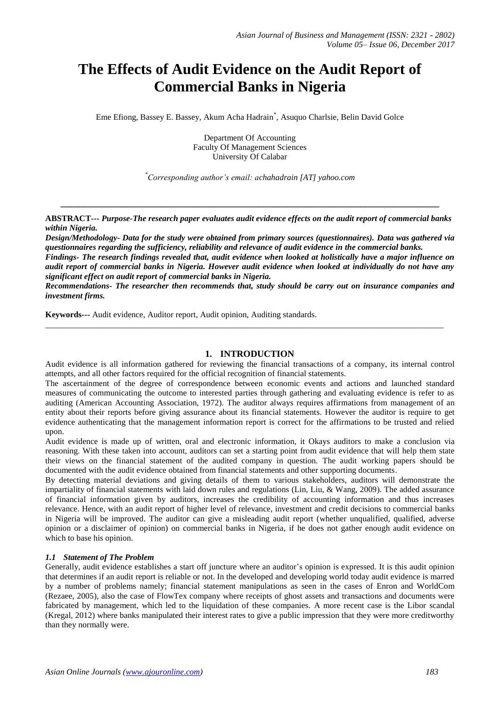# **The Effects of Audit Evidence on the Audit Report of Commercial Banks in Nigeria**

Eme Efiong, Bassey E. Bassey, Akum Acha Hadrain\* , Asuquo Charlsie, Belin David Golce

Department Of Accounting Faculty Of Management Sciences University Of Calabar

*\*Corresponding author's email: achahadrain [AT] yahoo.com*

**ABSTRACT---** *Purpose-The research paper evaluates audit evidence effects on the audit report of commercial banks within Nigeria.* 

**\_\_\_\_\_\_\_\_\_\_\_\_\_\_\_\_\_\_\_\_\_\_\_\_\_\_\_\_\_\_\_\_\_\_\_\_\_\_\_\_\_\_\_\_\_\_\_\_\_\_\_\_\_\_\_\_\_\_\_\_\_\_\_\_\_\_\_\_\_\_\_\_\_\_\_\_\_\_\_\_\_\_**

*Design/Methodology- Data for the study were obtained from primary sources (questionnaires). Data was gathered via questionnaires regarding the sufficiency, reliability and relevance of audit evidence in the commercial banks.* 

*Findings- The research findings revealed that, audit evidence when looked at holistically have a major influence on audit report of commercial banks in Nigeria. However audit evidence when looked at individually do not have any significant effect on audit report of commercial banks in Nigeria.* 

*Recommendations- The researcher then recommends that, study should be carry out on insurance companies and investment firms.* 

**Keywords---** Audit evidence, Auditor report, Audit opinion, Auditing standards.

#### **1. INTRODUCTION**

\_\_\_\_\_\_\_\_\_\_\_\_\_\_\_\_\_\_\_\_\_\_\_\_\_\_\_\_\_\_\_\_\_\_\_\_\_\_\_\_\_\_\_\_\_\_\_\_\_\_\_\_\_\_\_\_\_\_\_\_\_\_\_\_\_\_\_\_\_\_\_\_\_\_\_\_\_\_\_\_\_\_\_\_\_\_\_\_\_\_\_\_\_\_\_

Audit evidence is all information gathered for reviewing the financial transactions of a company, its internal control attempts, and all other factors required for the official recognition of financial statements.

The ascertainment of the degree of correspondence between economic events and actions and launched standard measures of communicating the outcome to interested parties through gathering and evaluating evidence is refer to as auditing (American Accounting Association, 1972). The auditor always requires affirmations from management of an entity about their reports before giving assurance about its financial statements. However the auditor is require to get evidence authenticating that the management information report is correct for the affirmations to be trusted and relied upon.

Audit evidence is made up of written, oral and electronic information, it Okays auditors to make a conclusion via reasoning. With these taken into account, auditors can set a starting point from audit evidence that will help them state their views on the financial statement of the audited company in question. The audit working papers should be documented with the audit evidence obtained from financial statements and other supporting documents.

By detecting material deviations and giving details of them to various stakeholders, auditors will demonstrate the impartiality of financial statements with laid down rules and regulations (Lin, Liu, & Wang, 2009). The added assurance of financial information given by auditors, increases the credibility of accounting information and thus increases relevance. Hence, with an audit report of higher level of relevance, investment and credit decisions to commercial banks in Nigeria will be improved. The auditor can give a misleading audit report (whether unqualified, qualified, adverse opinion or a disclaimer of opinion) on commercial banks in Nigeria, if he does not gather enough audit evidence on which to base his opinion.

#### *1.1 Statement of The Problem*

Generally, audit evidence establishes a start off juncture where an auditor's opinion is expressed. It is this audit opinion that determines if an audit report is reliable or not. In the developed and developing world today audit evidence is marred by a number of problems namely; financial statement manipulations as seen in the cases of Enron and WorldCom (Rezaee, 2005), also the case of FlowTex company where receipts of ghost assets and transactions and documents were fabricated by management, which led to the liquidation of these companies. A more recent case is the Libor scandal (Kregal, 2012) where banks manipulated their interest rates to give a public impression that they were more creditworthy than they normally were.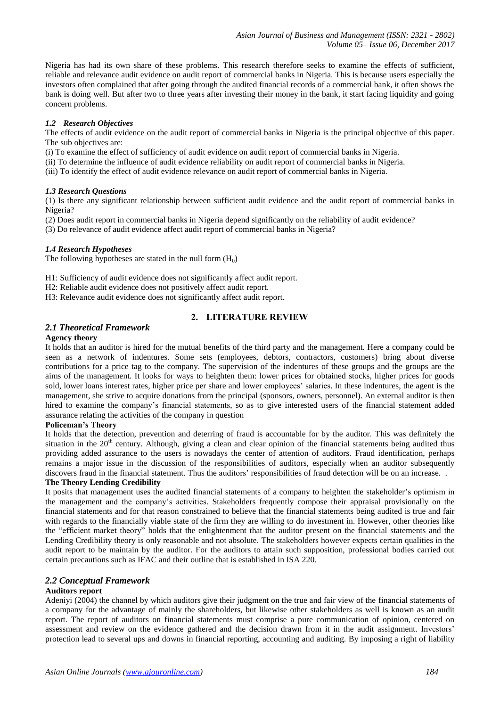Nigeria has had its own share of these problems. This research therefore seeks to examine the effects of sufficient, reliable and relevance audit evidence on audit report of commercial banks in Nigeria. This is because users especially the investors often complained that after going through the audited financial records of a commercial bank, it often shows the bank is doing well. But after two to three years after investing their money in the bank, it start facing liquidity and going concern problems.

## *1.2 Research Objectives*

The effects of audit evidence on the audit report of commercial banks in Nigeria is the principal objective of this paper. The sub objectives are:

(i) To examine the effect of sufficiency of audit evidence on audit report of commercial banks in Nigeria.

(ii) To determine the influence of audit evidence reliability on audit report of commercial banks in Nigeria.

(iii) To identify the effect of audit evidence relevance on audit report of commercial banks in Nigeria.

#### *1.3 Research Questions*

(1) Is there any significant relationship between sufficient audit evidence and the audit report of commercial banks in Nigeria?

(2) Does audit report in commercial banks in Nigeria depend significantly on the reliability of audit evidence?

(3) Do relevance of audit evidence affect audit report of commercial banks in Nigeria?

#### *1.4 Research Hypotheses*

The following hypotheses are stated in the null form  $(H_0)$ 

H1: Sufficiency of audit evidence does not significantly affect audit report.

H2: Reliable audit evidence does not positively affect audit report.

H3: Relevance audit evidence does not significantly affect audit report.

# **2. LITERATURE REVIEW**

#### *2.1 Theoretical Framework*

#### **Agency theory**

It holds that an auditor is hired for the mutual benefits of the third party and the management. Here a company could be seen as a network of indentures. Some sets (employees, debtors, contractors, customers) bring about diverse contributions for a price tag to the company. The supervision of the indentures of these groups and the groups are the aims of the management. It looks for ways to heighten them: lower prices for obtained stocks, higher prices for goods sold, lower loans interest rates, higher price per share and lower employees' salaries. In these indentures, the agent is the management, she strive to acquire donations from the principal (sponsors, owners, personnel). An external auditor is then hired to examine the company's financial statements, so as to give interested users of the financial statement added assurance relating the activities of the company in question

#### **Policeman's Theory**

It holds that the detection, prevention and deterring of fraud is accountable for by the auditor. This was definitely the situation in the  $20<sup>th</sup>$  century. Although, giving a clean and clear opinion of the financial statements being audited thus providing added assurance to the users is nowadays the center of attention of auditors. Fraud identification, perhaps remains a major issue in the discussion of the responsibilities of auditors, especially when an auditor subsequently discovers fraud in the financial statement. Thus the auditors' responsibilities of fraud detection will be on an increase. .

# **The Theory Lending Credibility**

It posits that management uses the audited financial statements of a company to heighten the stakeholder's optimism in the management and the company's activities. Stakeholders frequently compose their appraisal provisionally on the financial statements and for that reason constrained to believe that the financial statements being audited is true and fair with regards to the financially viable state of the firm they are willing to do investment in. However, other theories like the "efficient market theory" holds that the enlightenment that the auditor present on the financial statements and the Lending Credibility theory is only reasonable and not absolute. The stakeholders however expects certain qualities in the audit report to be maintain by the auditor. For the auditors to attain such supposition, professional bodies carried out certain precautions such as IFAC and their outline that is established in ISA 220.

## *2.2 Conceptual Framework*

#### **Auditors report**

Adeniyi (2004) the channel by which auditors give their judgment on the true and fair view of the financial statements of a company for the advantage of mainly the shareholders, but likewise other stakeholders as well is known as an audit report. The report of auditors on financial statements must comprise a pure communication of opinion, centered on assessment and review on the evidence gathered and the decision drawn from it in the audit assignment. Investors' protection lead to several ups and downs in financial reporting, accounting and auditing. By imposing a right of liability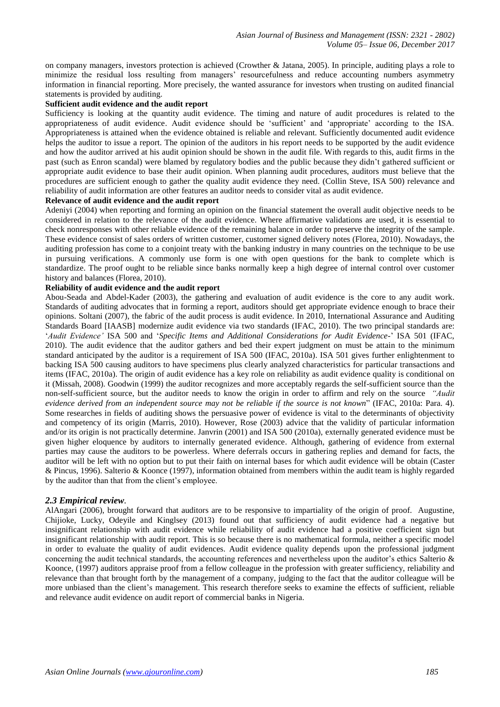on company managers, investors protection is achieved (Crowther & Jatana, 2005). In principle, auditing plays a role to minimize the residual loss resulting from managers' resourcefulness and reduce accounting numbers asymmetry information in financial reporting. More precisely, the wanted assurance for investors when trusting on audited financial statements is provided by auditing.

# **Sufficient audit evidence and the audit report**

Sufficiency is looking at the quantity audit evidence. The timing and nature of audit procedures is related to the appropriateness of audit evidence. Audit evidence should be 'sufficient' and 'appropriate' according to the ISA. Appropriateness is attained when the evidence obtained is reliable and relevant. Sufficiently documented audit evidence helps the auditor to issue a report. The opinion of the auditors in his report needs to be supported by the audit evidence and how the auditor arrived at his audit opinion should be shown in the audit file. With regards to this, audit firms in the past (such as Enron scandal) were blamed by regulatory bodies and the public because they didn't gathered sufficient or appropriate audit evidence to base their audit opinion. When planning audit procedures, auditors must believe that the procedures are sufficient enough to gather the quality audit evidence they need. (Collin Steve, ISA 500) relevance and reliability of audit information are other features an auditor needs to consider vital as audit evidence.

### **Relevance of audit evidence and the audit report**

Adeniyi (2004) when reporting and forming an opinion on the financial statement the overall audit objective needs to be considered in relation to the relevance of the audit evidence. Where affirmative validations are used, it is essential to check nonresponses with other reliable evidence of the remaining balance in order to preserve the integrity of the sample. These evidence consist of sales orders of written customer, customer signed delivery notes (Florea, 2010). Nowadays, the auditing profession has come to a conjoint treaty with the banking industry in many countries on the technique to be use in pursuing verifications. A commonly use form is one with open questions for the bank to complete which is standardize. The proof ought to be reliable since banks normally keep a high degree of internal control over customer history and balances (Florea, 2010).

#### **Reliability of audit evidence and the audit report**

Abou-Seada and Abdel-Kader (2003), the gathering and evaluation of audit evidence is the core to any audit work. Standards of auditing advocates that in forming a report, auditors should get appropriate evidence enough to brace their opinions. Soltani (2007), the fabric of the audit process is audit evidence. In 2010, International Assurance and Auditing Standards Board [IAASB] modernize audit evidence via two standards (IFAC, 2010). The two principal standards are: '*Audit Evidence'* ISA 500 and '*Specific Items and Additional Considerations for Audit Evidence-*' ISA 501 (IFAC, 2010). The audit evidence that the auditor gathers and bed their expert judgment on must be attain to the minimum standard anticipated by the auditor is a requirement of ISA 500 (IFAC, 2010a). ISA 501 gives further enlightenment to backing ISA 500 causing auditors to have specimens plus clearly analyzed characteristics for particular transactions and items (IFAC, 2010a). The origin of audit evidence has a key role on reliability as audit evidence quality is conditional on it (Missah, 2008). Goodwin (1999) the auditor recognizes and more acceptably regards the self-sufficient source than the non-self-sufficient source, but the auditor needs to know the origin in order to affirm and rely on the source *"Audit evidence derived from an independent source may not be reliable if the source is not known*" (IFAC, 2010a: Para. 4). Some researches in fields of auditing shows the persuasive power of evidence is vital to the determinants of objectivity and competency of its origin (Marris, 2010). However, Rose (2003) advice that the validity of particular information and/or its origin is not practically determine. Janvrin (2001) and ISA 500 (2010a), externally generated evidence must be given higher eloquence by auditors to internally generated evidence. Although, gathering of evidence from external parties may cause the auditors to be powerless. Where deferrals occurs in gathering replies and demand for facts, the auditor will be left with no option but to put their faith on internal bases for which audit evidence will be obtain (Caster & Pincus, 1996). Salterio & Koonce (1997), information obtained from members within the audit team is highly regarded by the auditor than that from the client's employee.

#### *2.3 Empirical review.*

AlAngari (2006), brought forward that auditors are to be responsive to impartiality of the origin of proof. Augustine, Chijioke, Lucky, Odeyile and Kinglsey (2013) found out that sufficiency of audit evidence had a negative but insignificant relationship with audit evidence while reliability of audit evidence had a positive coefficient sign but insignificant relationship with audit report. This is so because there is no mathematical formula, neither a specific model in order to evaluate the quality of audit evidences. Audit evidence quality depends upon the professional judgment concerning the audit technical standards, the accounting references and nevertheless upon the auditor's ethics Salterio  $\&$ Koonce, (1997) auditors appraise proof from a fellow colleague in the profession with greater sufficiency, reliability and relevance than that brought forth by the management of a company, judging to the fact that the auditor colleague will be more unbiased than the client's management. This research therefore seeks to examine the effects of sufficient, reliable and relevance audit evidence on audit report of commercial banks in Nigeria.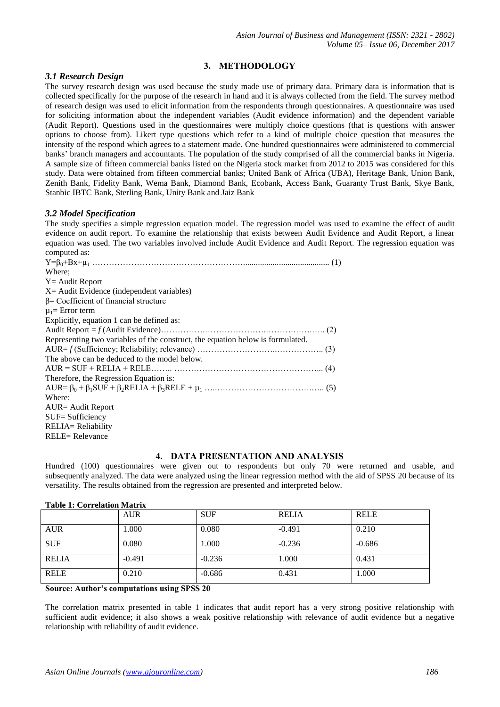# **3. METHODOLOGY**

# *3.1 Research Design*

The survey research design was used because the study made use of primary data. Primary data is information that is collected specifically for the purpose of the research in hand and it is always collected from the field. The survey method of research design was used to elicit information from the respondents through questionnaires. A questionnaire was used for soliciting information about the independent variables (Audit evidence information) and the dependent variable (Audit Report). Questions used in the questionnaires were multiply choice questions (that is questions with answer options to choose from). Likert type questions which refer to a kind of multiple choice question that measures the intensity of the respond which agrees to a statement made. One hundred questionnaires were administered to commercial banks' branch managers and accountants. The population of the study comprised of all the commercial banks in Nigeria. A sample size of fifteen commercial banks listed on the Nigeria stock market from 2012 to 2015 was considered for this study. Data were obtained from fifteen commercial banks; United Bank of Africa (UBA), Heritage Bank, Union Bank, Zenith Bank, Fidelity Bank, Wema Bank, Diamond Bank, Ecobank, Access Bank, Guaranty Trust Bank, Skye Bank, Stanbic IBTC Bank, Sterling Bank, Unity Bank and Jaiz Bank

# *3.2 Model Specification*

The study specifies a simple regression equation model. The regression model was used to examine the effect of audit evidence on audit report. To examine the relationship that exists between Audit Evidence and Audit Report, a linear equation was used. The two variables involved include Audit Evidence and Audit Report. The regression equation was computed as:

| computed as.                                                                   |  |
|--------------------------------------------------------------------------------|--|
|                                                                                |  |
| Where:                                                                         |  |
| $Y =$ Audit Report                                                             |  |
| $X =$ Audit Evidence (independent variables)                                   |  |
| $\beta$ = Coefficient of financial structure                                   |  |
| $\mu_1$ = Error term                                                           |  |
| Explicitly, equation 1 can be defined as:                                      |  |
|                                                                                |  |
| Representing two variables of the construct, the equation below is formulated. |  |
|                                                                                |  |
| The above can be deduced to the model below.                                   |  |
|                                                                                |  |
| Therefore, the Regression Equation is:                                         |  |
|                                                                                |  |
| Where:                                                                         |  |
| <b>AUR</b> = Audit Report                                                      |  |
| $SUF = Sufficiency$                                                            |  |
| RELIA= Reliability                                                             |  |
| <b>RELE= Relevance</b>                                                         |  |
|                                                                                |  |

# **4. DATA PRESENTATION AND ANALYSIS**

Hundred (100) questionnaires were given out to respondents but only 70 were returned and usable, and subsequently analyzed. The data were analyzed using the linear regression method with the aid of SPSS 20 because of its versatility. The results obtained from the regression are presented and interpreted below.

| Table 1: Correlation Matrix |            |            |              |             |  |  |  |
|-----------------------------|------------|------------|--------------|-------------|--|--|--|
|                             | <b>AUR</b> | <b>SUF</b> | <b>RELIA</b> | <b>RELE</b> |  |  |  |
| <b>AUR</b>                  | 1.000      | 0.080      | $-0.491$     | 0.210       |  |  |  |
| <b>SUF</b>                  | 0.080      | 1.000      | $-0.236$     | $-0.686$    |  |  |  |
| <b>RELIA</b>                | $-0.491$   | $-0.236$   | 1.000        | 0.431       |  |  |  |
| <b>RELE</b>                 | 0.210      | $-0.686$   | 0.431        | 1.000       |  |  |  |

#### **Table 1: Correlation Matrix**

**Source: Author's computations using SPSS 20**

The correlation matrix presented in table 1 indicates that audit report has a very strong positive relationship with sufficient audit evidence; it also shows a weak positive relationship with relevance of audit evidence but a negative relationship with reliability of audit evidence.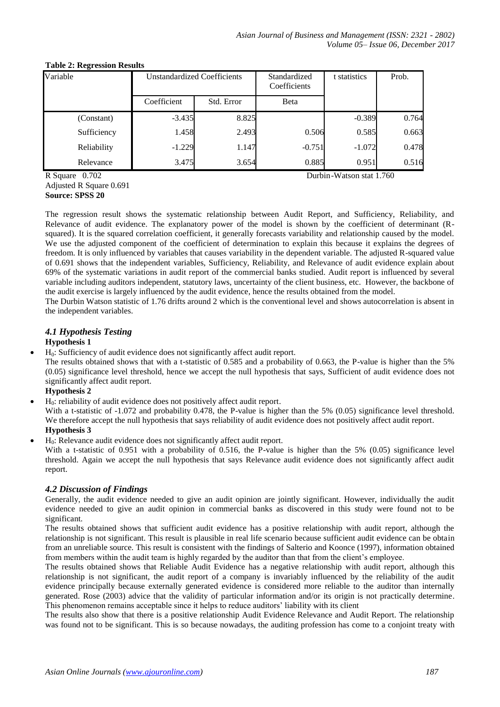| Variable    | <b>Unstandardized Coefficients</b> |            | Standardized<br>Coefficients |          | Prob. |
|-------------|------------------------------------|------------|------------------------------|----------|-------|
|             | Coefficient                        | Std. Error | Beta                         |          |       |
| (Constant)  | $-3.435$                           | 8.825      |                              | $-0.389$ | 0.764 |
| Sufficiency | 1.458                              | 2.493      | 0.506                        | 0.585    | 0.663 |
| Reliability | $-1.229$                           | 1.147      | $-0.751$                     | $-1.072$ | 0.478 |
| Relevance   | 3.475                              | 3.654      | 0.885                        | 0.951    | 0.516 |

#### **Table 2: Regression Results**

R Square 0.702 Durbin-Watson stat 1.760

Adjusted R Square 0.691 **Source: SPSS 20**

The regression result shows the systematic relationship between Audit Report, and Sufficiency, Reliability, and Relevance of audit evidence. The explanatory power of the model is shown by the coefficient of determinant (Rsquared). It is the squared correlation coefficient, it generally forecasts variability and relationship caused by the model. We use the adjusted component of the coefficient of determination to explain this because it explains the degrees of freedom. It is only influenced by variables that causes variability in the dependent variable. The adjusted R-squared value of 0.691 shows that the independent variables, Sufficiency, Reliability, and Relevance of audit evidence explain about 69% of the systematic variations in audit report of the commercial banks studied. Audit report is influenced by several variable including auditors independent, statutory laws, uncertainty of the client business, etc. However, the backbone of the audit exercise is largely influenced by the audit evidence, hence the results obtained from the model.

The Durbin Watson statistic of 1.76 drifts around 2 which is the conventional level and shows autocorrelation is absent in the independent variables.

# *4.1 Hypothesis Testing*

# **Hypothesis 1**

H0: Sufficiency of audit evidence does not significantly affect audit report.

The results obtained shows that with a t-statistic of 0.585 and a probability of 0.663, the P-value is higher than the 5% (0.05) significance level threshold, hence we accept the null hypothesis that says, Sufficient of audit evidence does not significantly affect audit report.

# **Hypothesis 2**

H0: reliability of audit evidence does not positively affect audit report.

With a t-statistic of -1.072 and probability 0.478, the P-value is higher than the 5% (0.05) significance level threshold. We therefore accept the null hypothesis that says reliability of audit evidence does not positively affect audit report. **Hypothesis 3**

H0: Relevance audit evidence does not significantly affect audit report.

With a t-statistic of 0.951 with a probability of 0.516, the P-value is higher than the 5% (0.05) significance level threshold. Again we accept the null hypothesis that says Relevance audit evidence does not significantly affect audit report.

# *4.2 Discussion of Findings*

Generally, the audit evidence needed to give an audit opinion are jointly significant. However, individually the audit evidence needed to give an audit opinion in commercial banks as discovered in this study were found not to be significant.

The results obtained shows that sufficient audit evidence has a positive relationship with audit report, although the relationship is not significant. This result is plausible in real life scenario because sufficient audit evidence can be obtain from an unreliable source. This result is consistent with the findings of Salterio and Koonce (1997), information obtained from members within the audit team is highly regarded by the auditor than that from the client's employee.

The results obtained shows that Reliable Audit Evidence has a negative relationship with audit report, although this relationship is not significant, the audit report of a company is invariably influenced by the reliability of the audit evidence principally because externally generated evidence is considered more reliable to the auditor than internally generated. Rose (2003) advice that the validity of particular information and/or its origin is not practically determine. This phenomenon remains acceptable since it helps to reduce auditors' liability with its client

The results also show that there is a positive relationship Audit Evidence Relevance and Audit Report. The relationship was found not to be significant. This is so because nowadays, the auditing profession has come to a conjoint treaty with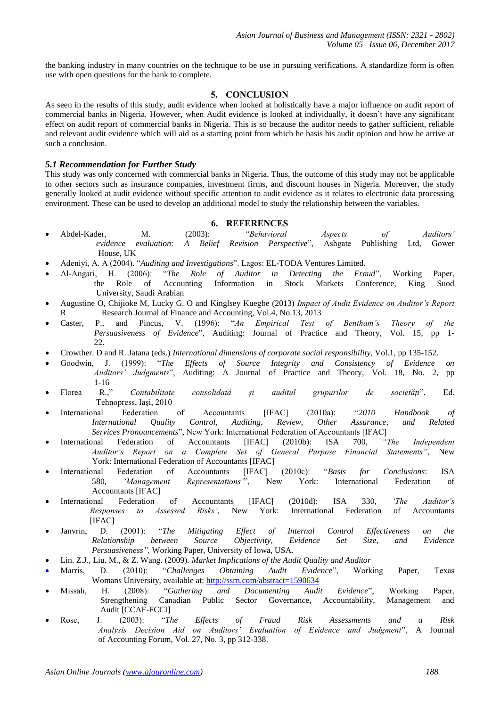the banking industry in many countries on the technique to be use in pursuing verifications. A standardize form is often use with open questions for the bank to complete.

# **5. CONCLUSION**

As seen in the results of this study, audit evidence when looked at holistically have a major influence on audit report of commercial banks in Nigeria. However, when Audit evidence is looked at individually, it doesn't have any significant effect on audit report of commercial banks in Nigeria. This is so because the auditor needs to gather sufficient, reliable and relevant audit evidence which will aid as a starting point from which he basis his audit opinion and how he arrive at such a conclusion.

#### *5.1 Recommendation for Further Study*

This study was only concerned with commercial banks in Nigeria. Thus, the outcome of this study may not be applicable to other sectors such as insurance companies, investment firms, and discount houses in Nigeria. Moreover, the study generally looked at audit evidence without specific attention to audit evidence as it relates to electronic data processing environment. These can be used to develop an additional model to study the relationship between the variables.

#### **6. REFERENCES**

- Abdel-Kader, M. (2003): *"Behavioral Aspects of Auditors' evidence evaluation: A Belief Revision Perspective*", Ashgate Publishing Ltd, Gower House, UK
- Adeniyi, A. A (2004). "*Auditing and Investigations*". Lagos: EL-TODA Ventures Limited.
- Al-Angari, H. (2006): "*The Role of Auditor in Detecting the Fraud*", Working Paper, the Role of Accounting Information in Stock Markets Conference, King Suod University, Saudi Arabian
- Augustine O, Chijioke M, Lucky G. O and Kinglsey Kuegbe (2013) *Impact of Audit Evidence on Auditor's Report*  R Research Journal of Finance and Accounting, Vol.4, No.13, 2013
- Caster, P., and Pincus, V. (1996): "*An Empirical Test of Bentham's Theory of the Persuasiveness of Evidence*", Auditing: Journal of Practice and Theory, Vol. 15, pp 1- 22.
- Crowther. D and R. Jatana (eds.) *International dimensions of corporate social responsibility*, Vol.1, pp 135-152.
- Goodwin, J. (1999): "*The Effects of Source Integrity and Consistency of Evidence on Auditors' Judgments*", Auditing: A Journal of Practice and Theory, Vol. 18, No. 2, pp 1-16
- Florea R.," *Contabilitate consolidată și auditul grupurilor de societăți*", Ed. Tehnopress, Iași, 2010
- International Federation of Accountants [IFAC] (2010a): "*2010 Handbook of International Quality Control, Auditing, Review, Other Assurance, and Related Services Pronouncements*", New York: International Federation of Accountants [IFAC]
- International Federation of Accountants [IFAC] (2010b): ISA 700, *"The Independent Auditor's Report on a Complete Set of General Purpose Financial Statements"*, New York: International Federation of Accountants [IFAC]
- International Federation of Accountants [IFAC] (2010c): "*Basis for Conclusions*: ISA 580, *'Management Representations'*", New York: International Federation of Accountants [IFAC]
- International Federation of Accountants [IFAC] (2010d): ISA 330, *'The Auditor's Responses to Assessed Risks'*, New York: International Federation of Accountants [IFAC]
- Janvrin, D. (2001): "*The Mitigating Effect of Internal Control Effectiveness on the Relationship between Source Objectivity, Evidence Set Size, and Evidence Persuasiveness",* Working Paper, University of Iowa, USA.
- Lin. Z.J., Liu. M., & Z. Wang. (2009). *Market Implications of the Audit Quality and Auditor*
- Marris, D. (2010): "*Challenges Obtaining Audit Evidence*", Working Paper, Texas Womans University, available at:<http://ssrn.com/abstract=1590634>
- Missah, H. (2008): "*Gathering and Documenting Audit Evidence*", Working Paper, Strengthening Canadian Public Sector Governance, Accountability, Management and Audit [CCAF-FCCI]
- Rose, J. (2003): "*The Effects of Fraud Risk Assessments and a Risk Analysis Decision Aid on Auditors' Evaluation of Evidence and Judgment*", A Journal of Accounting Forum, Vol. 27, No. 3, pp 312-338.